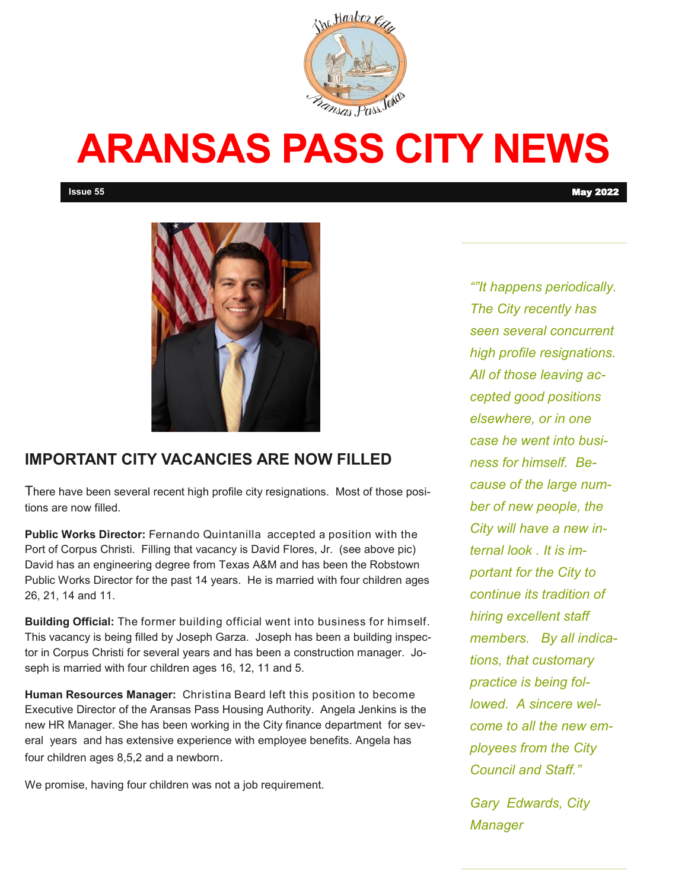

# **ARANSAS PASS CITY NEWS**



### **IMPORTANT CITY VACANCIES ARE NOW FILLED**

There have been several recent high profile city resignations. Most of those positions are now filled.

**Public Works Director:** Fernando Quintanilla accepted a position with the Port of Corpus Christi. Filling that vacancy is David Flores, Jr. (see above pic) David has an engineering degree from Texas A&M and has been the Robstown Public Works Director for the past 14 years. He is married with four children ages 26, 21, 14 and 11.

**Building Official:** The former building official went into business for himself. This vacancy is being filled by Joseph Garza. Joseph has been a building inspector in Corpus Christi for several years and has been a construction manager. Joseph is married with four children ages 16, 12, 11 and 5.

**Human Resources Manager:** Christina Beard left this position to become Executive Director of the Aransas Pass Housing Authority. Angela Jenkins is the new HR Manager. She has been working in the City finance department for several years and has extensive experience with employee benefits. Angela has four children ages 8,5,2 and a newborn.

We promise, having four children was not a job requirement.

*""It happens periodically. The City recently has seen several concurrent high profile resignations. All of those leaving accepted good positions elsewhere, or in one case he went into business for himself. Because of the large number of new people, the City will have a new internal look . It is important for the City to continue its tradition of hiring excellent staff members. By all indications, that customary practice is being followed. A sincere welcome to all the new employees from the City Council and Staff."* 

*Gary Edwards, City Manager*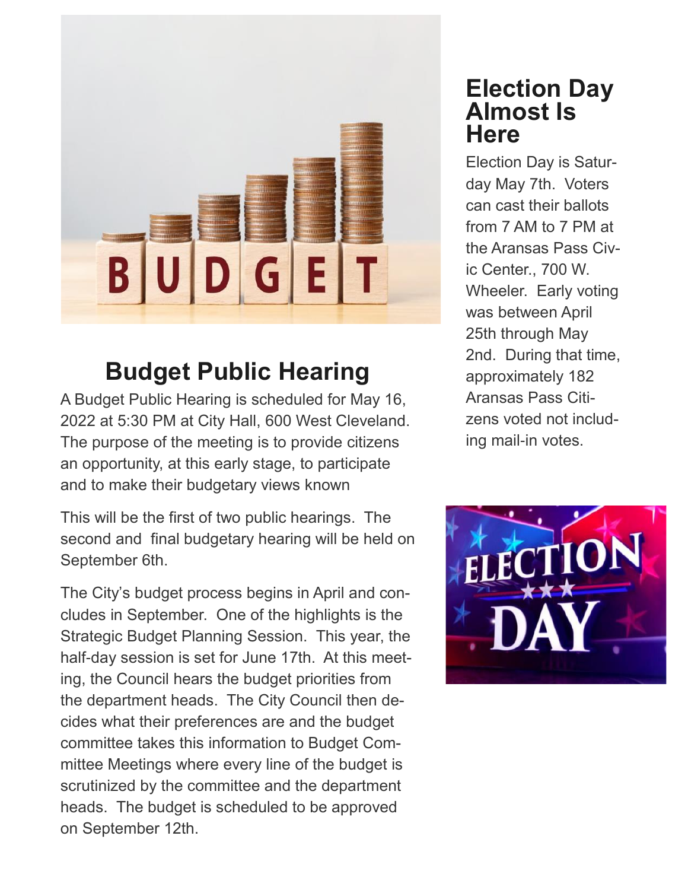

# **Budget Public Hearing**

A Budget Public Hearing is scheduled for May 16, 2022 at 5:30 PM at City Hall, 600 West Cleveland. The purpose of the meeting is to provide citizens an opportunity, at this early stage, to participate and to make their budgetary views known

This will be the first of two public hearings. The second and final budgetary hearing will be held on September 6th.

The City's budget process begins in April and concludes in September. One of the highlights is the Strategic Budget Planning Session. This year, the half-day session is set for June 17th. At this meeting, the Council hears the budget priorities from the department heads. The City Council then decides what their preferences are and the budget committee takes this information to Budget Committee Meetings where every line of the budget is scrutinized by the committee and the department heads. The budget is scheduled to be approved on September 12th.

# **Election Day Almost Is Here**

Election Day is Saturday May 7th. Voters can cast their ballots from 7 AM to 7 PM at the Aransas Pass Civic Center., 700 W. Wheeler. Early voting was between April 25th through May 2nd. During that time, approximately 182 Aransas Pass Citizens voted not including mail-in votes.

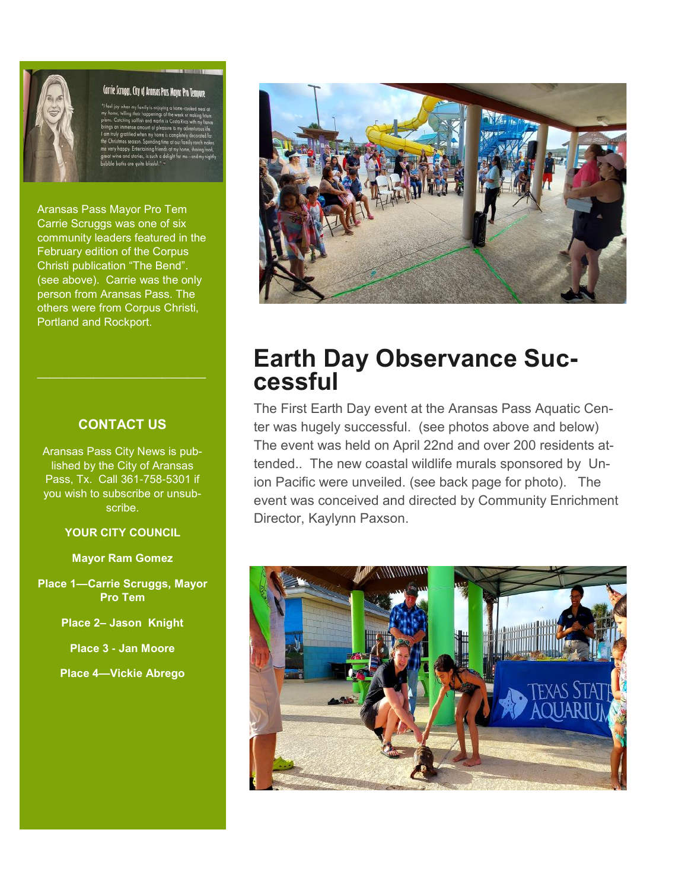

#### Carrie Scruggs, City of Aransas Pass Mayor Pro Tempore

Aransas Pass Mayor Pro Tem Carrie Scruggs was one of six community leaders featured in the February edition of the Corpus Christi publication "The Bend". (see above). Carrie was the only person from Aransas Pass. The others were from Corpus Christi, Portland and Rockport.

#### **CONTACT US**

Aransas Pass City News is published by the City of Aransas Pass, Tx. Call 361-758-5301 if you wish to subscribe or unsubscribe.

#### **YOUR CITY COUNCIL**

**Mayor Ram Gomez**

**Place 1—Carrie Scruggs, Mayor Pro Tem**

**Place 2– Jason Knight**

**Place 3 - Jan Moore**

**Place 4—Vickie Abrego**



## **Earth Day Observance Successful**

The First Earth Day event at the Aransas Pass Aquatic Center was hugely successful. (see photos above and below) The event was held on April 22nd and over 200 residents attended.. The new coastal wildlife murals sponsored by Union Pacific were unveiled. (see back page for photo). The event was conceived and directed by Community Enrichment Director, Kaylynn Paxson.